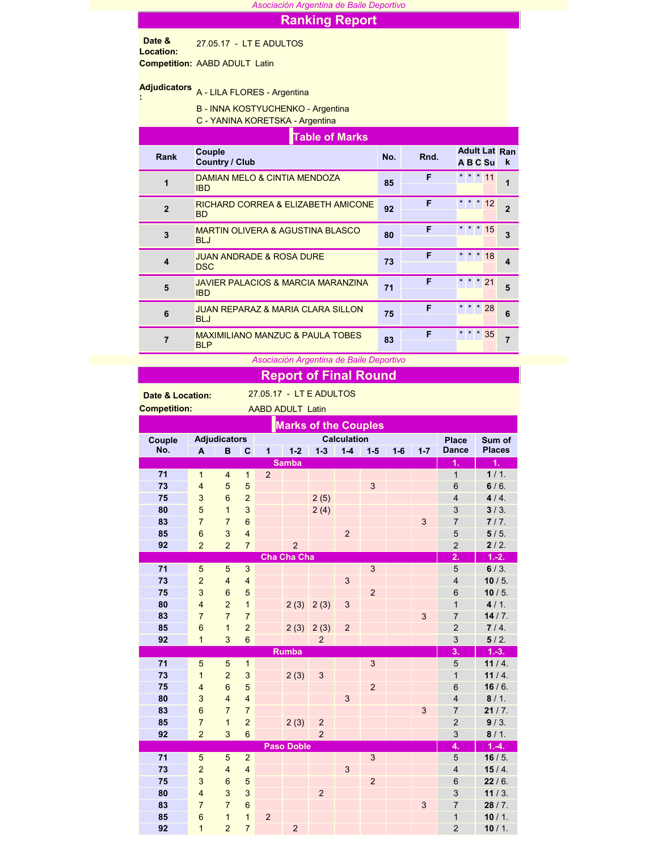| Asociación Argentina de Baile Deportivo |                                                                      |     |      |                                  |                         |  |  |  |  |  |  |  |
|-----------------------------------------|----------------------------------------------------------------------|-----|------|----------------------------------|-------------------------|--|--|--|--|--|--|--|
|                                         | <b>Ranking Report</b>                                                |     |      |                                  |                         |  |  |  |  |  |  |  |
| Date &<br>Location:                     | 27.05.17 - LT E ADULTOS                                              |     |      |                                  |                         |  |  |  |  |  |  |  |
|                                         | <b>Competition: AABD ADULT Latin</b>                                 |     |      |                                  |                         |  |  |  |  |  |  |  |
| <b>Adjudicators</b>                     | A - LILA FLORES - Argentina                                          |     |      |                                  |                         |  |  |  |  |  |  |  |
|                                         | B - INNA KOSTYUCHENKO - Argentina<br>C - YANINA KORETSKA - Argentina |     |      |                                  |                         |  |  |  |  |  |  |  |
| <b>Table of Marks</b>                   |                                                                      |     |      |                                  |                         |  |  |  |  |  |  |  |
| Rank                                    | Couple<br><b>Country / Club</b>                                      | No. | Rnd. | <b>Adult Lat Ran</b><br>A B C Su | k                       |  |  |  |  |  |  |  |
| $\mathbf{1}$                            | DAMIAN MELO & CINTIA MENDOZA<br><b>IBD</b>                           | 85  | F    | $* * * 11$                       | 1                       |  |  |  |  |  |  |  |
| $\overline{2}$                          | <b>RICHARD CORREA &amp; ELIZABETH AMICONE</b><br><b>BD</b>           | 92  | F    | * * * 12                         | $\overline{2}$          |  |  |  |  |  |  |  |
| 3                                       | <b>MARTIN OLIVERA &amp; AGUSTINA BLASCO</b><br><b>BLJ</b>            | 80  | F    | $* * * 15$                       | 3                       |  |  |  |  |  |  |  |
| 4                                       | <b>JUAN ANDRADE &amp; ROSA DURE</b><br><b>DSC</b>                    | 73  | F    | $*18$<br>$*$ *                   | $\overline{\mathbf{4}}$ |  |  |  |  |  |  |  |
| 5                                       | <b>JAVIER PALACIOS &amp; MARCIA MARANZINA</b><br><b>IBD</b>          | 71  | F    | $* * * 21$                       | 5                       |  |  |  |  |  |  |  |
| 6                                       | <b>JUAN REPARAZ &amp; MARIA CLARA SILLON</b><br><b>BLJ</b>           | 75  | F    | $\star$<br>28                    | 6                       |  |  |  |  |  |  |  |
| $\overline{7}$                          | <b>MAXIMILIANO MANZUC &amp; PAULA TOBES</b><br><b>BLP</b>            | 83  | F    | $\star$<br>35                    | $\overline{7}$          |  |  |  |  |  |  |  |

## *Asociación Argentina de Baile Deportivo*

## Report of Final Round

Date & Location: 27.05.17 - LT E ADULTOS

| <b>Competition:</b><br><b>AABD ADULT Latin</b> |                         |                                           |                |                |                    |                  |                |                |         |              |                         |               |
|------------------------------------------------|-------------------------|-------------------------------------------|----------------|----------------|--------------------|------------------|----------------|----------------|---------|--------------|-------------------------|---------------|
| <b>Marks of the Couples</b>                    |                         |                                           |                |                |                    |                  |                |                |         |              |                         |               |
| Couple                                         |                         | <b>Adjudicators</b><br><b>Calculation</b> |                |                |                    |                  |                |                |         | <b>Place</b> | Sum of                  |               |
| No.                                            | A                       | B                                         | C              | 1              | $1 - 2$            | $1 - 3$          | $1 - 4$        | $1-5$          | $1 - 6$ | $1 - 7$      | <b>Dance</b>            | <b>Places</b> |
|                                                |                         |                                           |                |                | <b>Samba</b>       |                  |                |                |         |              | 1.                      | 1.            |
| 71                                             | $\mathbf{1}$            | $\overline{4}$                            | $\mathbf{1}$   | $\overline{2}$ |                    |                  |                |                |         |              | $\mathbf{1}$            | 1/1.          |
| 73                                             | $\overline{\mathbf{4}}$ | 5                                         | 5              |                |                    |                  |                | $\mathbf{3}$   |         |              | 6                       | 6/6.          |
| 75                                             | 3                       | $6\phantom{a}$                            | $\overline{a}$ |                |                    | 2(5)             |                |                |         |              | $\overline{\mathbf{4}}$ | 4/4.          |
| 80                                             | $\overline{5}$          | $\mathbf{1}$                              | 3              |                |                    | 2(4)             |                |                |         |              | 3                       | $3/3$ .       |
| 83                                             | $\overline{7}$          | $\overline{7}$                            | 6              |                |                    |                  |                |                |         | $\mathbf{3}$ | $\overline{7}$          | 7/7.          |
| 85                                             | $6\phantom{1}6$         | 3                                         | $\overline{4}$ |                |                    |                  | $\overline{2}$ |                |         |              | 5                       | 5/5.          |
| 92                                             | $\overline{a}$          | $\overline{2}$                            | $\overline{7}$ |                | $\overline{2}$     |                  |                |                |         |              | $\overline{2}$          | 2/2.          |
|                                                |                         |                                           |                |                | <b>Cha Cha Cha</b> |                  |                |                |         |              | 2.                      | $1.-2.$       |
| 71                                             | 5                       | 5                                         | 3              |                |                    |                  |                | 3              |         |              | 5                       | 6/3.          |
| 73                                             | $\overline{c}$          | $\overline{4}$                            | $\overline{4}$ |                |                    |                  | 3              |                |         |              | $\overline{4}$          | 10/5.         |
| 75                                             | $\mathbf{3}$            | $\boldsymbol{6}$                          | 5              |                |                    |                  |                | $\overline{c}$ |         |              | 6                       | 10/5.         |
| 80                                             | $\overline{\mathbf{4}}$ | $\overline{2}$                            | $\mathbf{1}$   |                | 2(3)               | 2(3)             | 3              |                |         |              | $\mathbf{1}$            | 4/1.          |
| 83                                             | $\overline{7}$          | $\overline{7}$                            | $\overline{7}$ |                |                    |                  |                |                |         | 3            | $\overline{7}$          | 14/7.         |
| 85                                             | $6\phantom{a}$          | $\overline{1}$                            | $\overline{c}$ |                | 2(3)               | 2(3)             | $\overline{2}$ |                |         |              | $\overline{2}$          | 7/4.          |
| 92                                             | $\mathbf{1}$            | 3                                         | 6              |                |                    | $\overline{2}$   |                |                |         |              | 3                       | 5/2.          |
|                                                |                         |                                           |                |                | <b>Rumba</b>       |                  |                |                |         |              | 3.                      | $1.-3.$       |
| 71                                             | $\overline{5}$          | 5                                         | $\mathbf{1}$   |                |                    |                  |                | $\mathbf{3}$   |         |              | 5                       | 11/4.         |
| 73                                             | $\mathbf{1}$            | $\overline{a}$                            | 3              |                | 2(3)               | 3                |                |                |         |              | $\mathbf{1}$            | 11/4.         |
| 75                                             | $\overline{\mathbf{4}}$ | $6\phantom{a}$                            | 5              |                |                    |                  |                | $\overline{c}$ |         |              | 6                       | 16/6.         |
| 80                                             | $\overline{3}$          | $\overline{4}$                            | $\overline{4}$ |                |                    |                  | 3              |                |         |              | $\overline{4}$          | 8/1.          |
| 83                                             | $6\phantom{1}6$         | $\overline{7}$                            | $\overline{7}$ |                |                    |                  |                |                |         | $\mathbf{3}$ | $\overline{7}$          | 21/7.         |
| 85                                             | $\overline{7}$          | $\mathbf{1}$                              | $\overline{2}$ |                | 2(3)               | $\boldsymbol{2}$ |                |                |         |              | $\overline{2}$          | 9/3.          |
| 92                                             | $\overline{a}$          | $\overline{3}$                            | $6\phantom{1}$ |                |                    | $\overline{2}$   |                |                |         |              | 3                       | 8/1.          |
|                                                |                         |                                           |                |                | <b>Paso Doble</b>  |                  |                |                |         |              | 4.                      | $1.-4.$       |
| 71                                             | 5                       | 5                                         | $\overline{2}$ |                |                    |                  |                | $\mathbf{3}$   |         |              | 5                       | 16/5.         |
| 73                                             | $\overline{c}$          | $\overline{4}$                            | $\overline{4}$ |                |                    |                  | 3              |                |         |              | $\overline{\mathbf{4}}$ | 15/4.         |
| 75                                             | $\mathbf{3}$            | $6\phantom{1}$                            | 5              |                |                    |                  |                | $\overline{2}$ |         |              | 6                       | 22/6.         |
| 80                                             | $\overline{4}$          | 3                                         | 3              |                |                    | $\overline{c}$   |                |                |         |              | 3                       | 11/3.         |
| 83                                             | $\overline{7}$          | $\overline{7}$                            | 6              |                |                    |                  |                |                |         | 3            | $\overline{7}$          | 28/7.         |
| 85                                             | $\overline{6}$          | $\overline{1}$                            | $\mathbf{1}$   | $\overline{2}$ |                    |                  |                |                |         |              | $\overline{1}$          | 10/1.         |
| 92                                             | 1                       | $\overline{2}$                            | $\overline{7}$ |                | $\overline{2}$     |                  |                |                |         |              | $\overline{2}$          | 10/1.         |